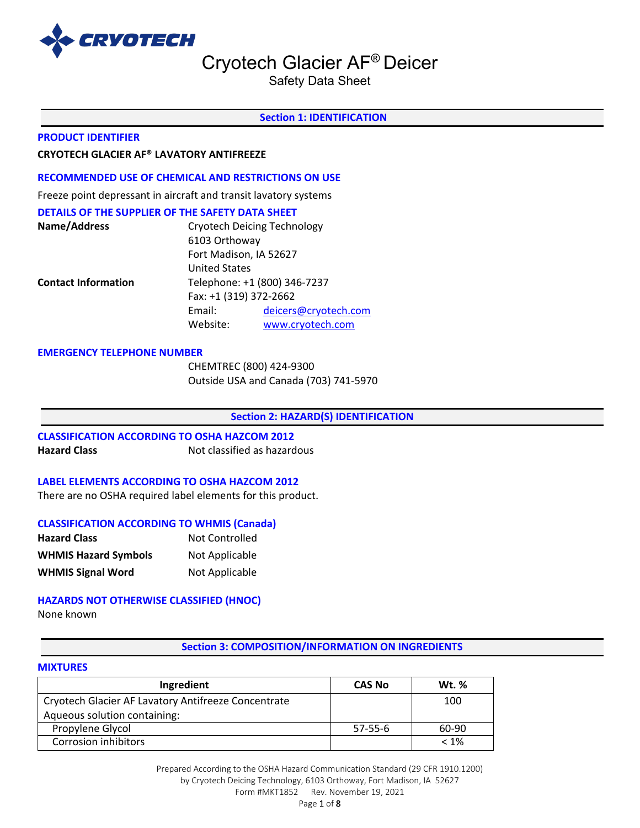

Safety Data Sheet

#### **Section 1: IDENTIFICATION**

#### **PRODUCT IDENTIFIER**

### **CRYOTECH GLACIER AF® LAVATORY ANTIFREEZE**

#### **RECOMMENDED USE OF CHEMICAL AND RESTRICTIONS ON USE**

Freeze point depressant in aircraft and transit lavatory systems

#### **DETAILS OF THE SUPPLIER OF THE SAFETY DATA SHEET**

| Name/Address               | <b>Cryotech Deicing Technology</b><br>6103 Orthoway |                      |  |  |  |
|----------------------------|-----------------------------------------------------|----------------------|--|--|--|
|                            |                                                     |                      |  |  |  |
|                            | Fort Madison, IA 52627                              |                      |  |  |  |
|                            | <b>United States</b>                                |                      |  |  |  |
| <b>Contact Information</b> | Telephone: +1 (800) 346-7237                        |                      |  |  |  |
|                            | Fax: +1 (319) 372-2662                              |                      |  |  |  |
|                            | Email:                                              | deicers@cryotech.com |  |  |  |
|                            | Website:                                            | www.cryotech.com     |  |  |  |

#### **EMERGENCY TELEPHONE NUMBER**

CHEMTREC (800) 424-9300 Outside USA and Canada (703) 741-5970

#### **Section 2: HAZARD(S) IDENTIFICATION**

# **CLASSIFICATION ACCORDING TO OSHA HAZCOM 2012 Hazard Class Not classified as hazardous**

#### **LABEL ELEMENTS ACCORDING TO OSHA HAZCOM 2012**

There are no OSHA required label elements for this product.

#### **CLASSIFICATION ACCORDING TO WHMIS (Canada)**

| <b>Hazard Class</b>         | Not Controlled |
|-----------------------------|----------------|
| <b>WHMIS Hazard Symbols</b> | Not Applicable |
| <b>WHMIS Signal Word</b>    | Not Applicable |

#### **HAZARDS NOT OTHERWISE CLASSIFIED (HNOC)**

None known

#### **Section 3: COMPOSITION/INFORMATION ON INGREDIENTS**

#### **MIXTURES**

| Ingredient                                          | <b>CAS No</b> | <b>Wt. %</b> |
|-----------------------------------------------------|---------------|--------------|
| Cryotech Glacier AF Lavatory Antifreeze Concentrate |               | 100          |
| Aqueous solution containing:                        |               |              |
| Propylene Glycol                                    | 57-55-6       | 60-90        |
| <b>Corrosion inhibitors</b>                         |               | $< 1\%$      |

Prepared According to the OSHA Hazard Communication Standard (29 CFR 1910.1200) by Cryotech Deicing Technology, 6103 Orthoway, Fort Madison, IA 52627 Form #MKT1852 Rev. November 19, 2021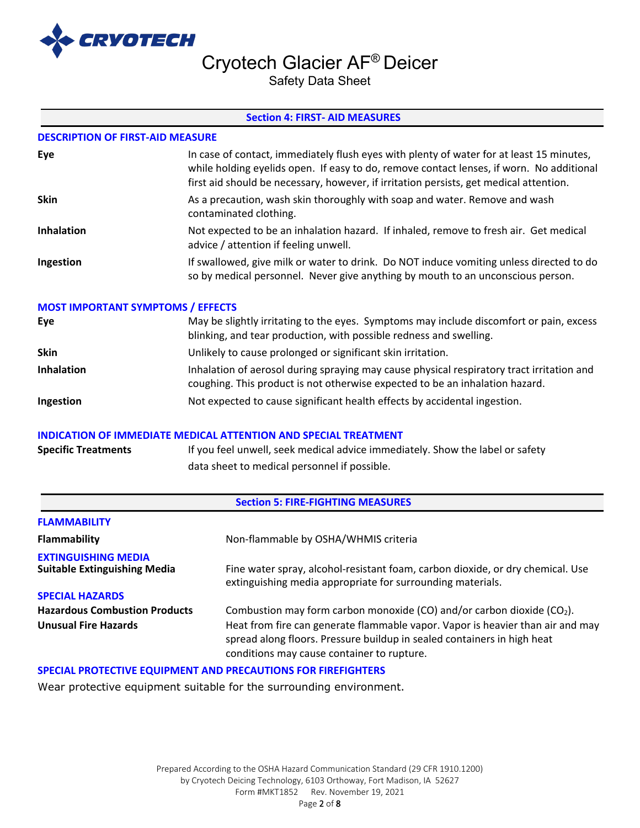

Safety Data Sheet

### **Section 4: FIRST- AID MEASURES**

### **DESCRIPTION OF FIRST-AID MEASURE**

| Eye               | In case of contact, immediately flush eyes with plenty of water for at least 15 minutes,<br>while holding eyelids open. If easy to do, remove contact lenses, if worn. No additional<br>first aid should be necessary, however, if irritation persists, get medical attention. |
|-------------------|--------------------------------------------------------------------------------------------------------------------------------------------------------------------------------------------------------------------------------------------------------------------------------|
| <b>Skin</b>       | As a precaution, wash skin thoroughly with soap and water. Remove and wash<br>contaminated clothing.                                                                                                                                                                           |
| <b>Inhalation</b> | Not expected to be an inhalation hazard. If inhaled, remove to fresh air. Get medical<br>advice / attention if feeling unwell.                                                                                                                                                 |
| Ingestion         | If swallowed, give milk or water to drink. Do NOT induce vomiting unless directed to do<br>so by medical personnel. Never give anything by mouth to an unconscious person.                                                                                                     |

### **MOST IMPORTANT SYMPTOMS / EFFECTS**

| Eye               | May be slightly irritating to the eyes. Symptoms may include discomfort or pain, excess<br>blinking, and tear production, with possible redness and swelling.             |
|-------------------|---------------------------------------------------------------------------------------------------------------------------------------------------------------------------|
| <b>Skin</b>       | Unlikely to cause prolonged or significant skin irritation.                                                                                                               |
| <b>Inhalation</b> | Inhalation of aerosol during spraying may cause physical respiratory tract irritation and<br>coughing. This product is not otherwise expected to be an inhalation hazard. |
| Ingestion         | Not expected to cause significant health effects by accidental ingestion.                                                                                                 |

#### **INDICATION OF IMMEDIATE MEDICAL ATTENTION AND SPECIAL TREATMENT**

| <b>Specific Treatments</b> | If you feel unwell, seek medical advice immediately. Show the label or safety |
|----------------------------|-------------------------------------------------------------------------------|
|                            | data sheet to medical personnel if possible.                                  |

#### **Section 5: FIRE-FIGHTING MEASURES**

| <b>FLAMMABILITY</b>                                                 |                                                                                                                                                                                                                                                                                      |
|---------------------------------------------------------------------|--------------------------------------------------------------------------------------------------------------------------------------------------------------------------------------------------------------------------------------------------------------------------------------|
| <b>Flammability</b>                                                 | Non-flammable by OSHA/WHMIS criteria                                                                                                                                                                                                                                                 |
| <b>EXTINGUISHING MEDIA</b><br><b>Suitable Extinguishing Media</b>   | Fine water spray, alcohol-resistant foam, carbon dioxide, or dry chemical. Use<br>extinguishing media appropriate for surrounding materials.                                                                                                                                         |
| <b>SPECIAL HAZARDS</b>                                              |                                                                                                                                                                                                                                                                                      |
| <b>Hazardous Combustion Products</b><br><b>Unusual Fire Hazards</b> | Combustion may form carbon monoxide (CO) and/or carbon dioxide ( $CO2$ ).<br>Heat from fire can generate flammable vapor. Vapor is heavier than air and may<br>spread along floors. Pressure buildup in sealed containers in high heat<br>conditions may cause container to rupture. |

#### **SPECIAL PROTECTIVE EQUIPMENT AND PRECAUTIONS FOR FIREFIGHTERS**

Wear protective equipment suitable for the surrounding environment.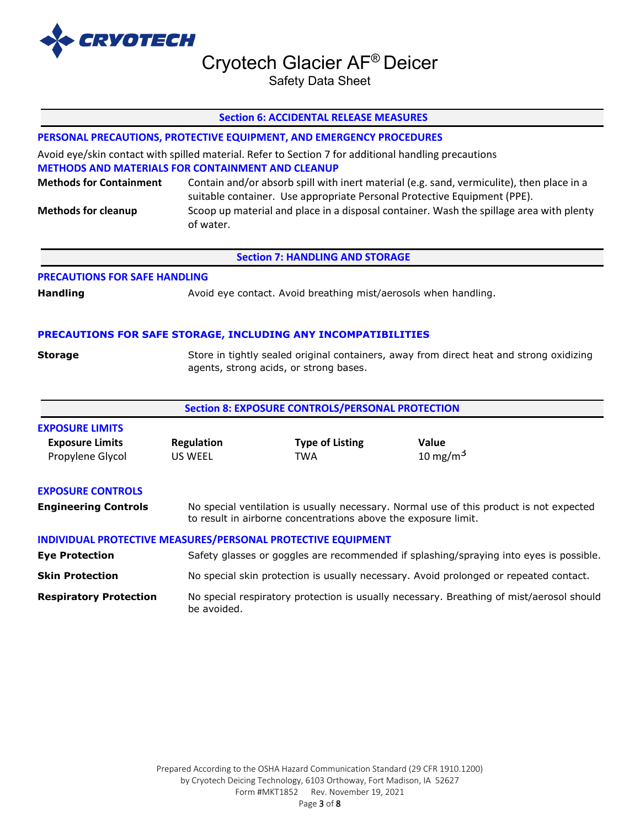

Safety Data Sheet

|                                                              |                                                                                                                                                                                                                                                                                                                                                                                                                                      | <b>Section 6: ACCIDENTAL RELEASE MEASURES</b>                                         |                                                                                        |  |  |
|--------------------------------------------------------------|--------------------------------------------------------------------------------------------------------------------------------------------------------------------------------------------------------------------------------------------------------------------------------------------------------------------------------------------------------------------------------------------------------------------------------------|---------------------------------------------------------------------------------------|----------------------------------------------------------------------------------------|--|--|
|                                                              |                                                                                                                                                                                                                                                                                                                                                                                                                                      | PERSONAL PRECAUTIONS, PROTECTIVE EQUIPMENT, AND EMERGENCY PROCEDURES                  |                                                                                        |  |  |
| <b>Methods for Containment</b><br><b>Methods for cleanup</b> | Avoid eye/skin contact with spilled material. Refer to Section 7 for additional handling precautions<br><b>METHODS AND MATERIALS FOR CONTAINMENT AND CLEANUP</b><br>Contain and/or absorb spill with inert material (e.g. sand, vermiculite), then place in a<br>suitable container. Use appropriate Personal Protective Equipment (PPE).<br>Scoop up material and place in a disposal container. Wash the spillage area with plenty |                                                                                       |                                                                                        |  |  |
|                                                              | of water.                                                                                                                                                                                                                                                                                                                                                                                                                            |                                                                                       |                                                                                        |  |  |
|                                                              |                                                                                                                                                                                                                                                                                                                                                                                                                                      | <b>Section 7: HANDLING AND STORAGE</b>                                                |                                                                                        |  |  |
| <b>PRECAUTIONS FOR SAFE HANDLING</b>                         |                                                                                                                                                                                                                                                                                                                                                                                                                                      |                                                                                       |                                                                                        |  |  |
| <b>Handling</b>                                              | Avoid eye contact. Avoid breathing mist/aerosols when handling.                                                                                                                                                                                                                                                                                                                                                                      |                                                                                       |                                                                                        |  |  |
|                                                              |                                                                                                                                                                                                                                                                                                                                                                                                                                      | PRECAUTIONS FOR SAFE STORAGE, INCLUDING ANY INCOMPATIBILITIES                         |                                                                                        |  |  |
| <b>Storage</b>                                               | Store in tightly sealed original containers, away from direct heat and strong oxidizing<br>agents, strong acids, or strong bases.                                                                                                                                                                                                                                                                                                    |                                                                                       |                                                                                        |  |  |
|                                                              |                                                                                                                                                                                                                                                                                                                                                                                                                                      | <b>Section 8: EXPOSURE CONTROLS/PERSONAL PROTECTION</b>                               |                                                                                        |  |  |
| <b>EXPOSURE LIMITS</b>                                       |                                                                                                                                                                                                                                                                                                                                                                                                                                      |                                                                                       |                                                                                        |  |  |
| <b>Exposure Limits</b><br>Propylene Glycol                   | <b>Regulation</b><br>US WEEL                                                                                                                                                                                                                                                                                                                                                                                                         | <b>Type of Listing</b><br><b>TWA</b>                                                  | Value<br>10 mg/m <sup>3</sup>                                                          |  |  |
| <b>EXPOSURE CONTROLS</b>                                     |                                                                                                                                                                                                                                                                                                                                                                                                                                      |                                                                                       |                                                                                        |  |  |
| <b>Engineering Controls</b>                                  | No special ventilation is usually necessary. Normal use of this product is not expected<br>to result in airborne concentrations above the exposure limit.                                                                                                                                                                                                                                                                            |                                                                                       |                                                                                        |  |  |
|                                                              |                                                                                                                                                                                                                                                                                                                                                                                                                                      | INDIVIDUAL PROTECTIVE MEASURES/PERSONAL PROTECTIVE EQUIPMENT                          |                                                                                        |  |  |
| <b>Eye Protection</b>                                        |                                                                                                                                                                                                                                                                                                                                                                                                                                      |                                                                                       | Safety glasses or goggles are recommended if splashing/spraying into eyes is possible. |  |  |
| <b>Skin Protection</b>                                       |                                                                                                                                                                                                                                                                                                                                                                                                                                      | No special skin protection is usually necessary. Avoid prolonged or repeated contact. |                                                                                        |  |  |
| <b>Respiratory Protection</b>                                | No special respiratory protection is usually necessary. Breathing of mist/aerosol should<br>be avoided.                                                                                                                                                                                                                                                                                                                              |                                                                                       |                                                                                        |  |  |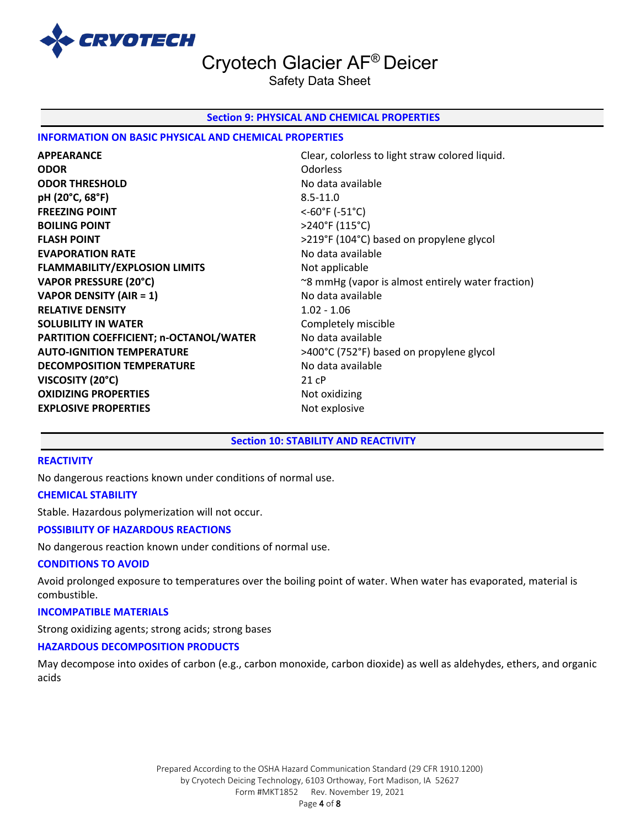

Safety Data Sheet

#### **Section 9: PHYSICAL AND CHEMICAL PROPERTIES**

### **INFORMATION ON BASIC PHYSICAL AND CHEMICAL PROPERTIES**

**APPEARANCE** Clear, colorless to light straw colored liquid. **ODOR** Odorless **ODOR THRESHOLD** No data available **pH (20°C, 68°F)** 8.5-11.0 **FREEZING POINT** <-60°F (-51°C) **BOILING POINT** >240°F (115°C) **FLASH POINT** >219°F (104°C) based on propylene glycol **EVAPORATION RATE No data available No data available FLAMMABILITY/EXPLOSION LIMITS** Not applicable **VAPOR DENSITY (AIR = 1)** No data available **RELATIVE DENSITY** 1.02 - 1.06 **SOLUBILITY IN WATER** Completely miscible **PARTITION COEFFICIENT; n-OCTANOL/WATER** No data available **AUTO-IGNITION TEMPERATURE** >400°C (752°F) based on propylene glycol **DECOMPOSITION TEMPERATURE** No data available **VISCOSITY (20°C)** 21 cP **OXIDIZING PROPERTIES** Not oxidizing **EXPLOSIVE PROPERTIES** Not explosive

**VAPOR PRESSURE (20°C)** <sup>~8</sup> mmHg (vapor is almost entirely water fraction)

#### **Section 10: STABILITY AND REACTIVITY**

### **REACTIVITY**

No dangerous reactions known under conditions of normal use.

#### **CHEMICAL STABILITY**

Stable. Hazardous polymerization will not occur.

#### **POSSIBILITY OF HAZARDOUS REACTIONS**

No dangerous reaction known under conditions of normal use.

#### **CONDITIONS TO AVOID**

Avoid prolonged exposure to temperatures over the boiling point of water. When water has evaporated, material is combustible.

#### **INCOMPATIBLE MATERIALS**

Strong oxidizing agents; strong acids; strong bases

#### **HAZARDOUS DECOMPOSITION PRODUCTS**

May decompose into oxides of carbon (e.g., carbon monoxide, carbon dioxide) as well as aldehydes, ethers, and organic acids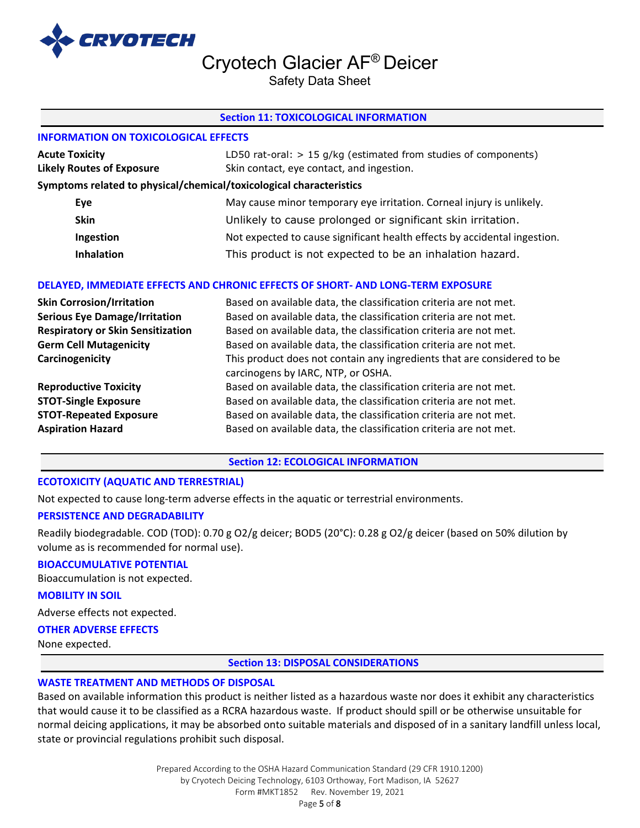

Safety Data Sheet

### **Section 11: TOXICOLOGICAL INFORMATION**

# **INFORMATION ON TOXICOLOGICAL EFFECTS**

| <b>Acute Toxicity</b>            | LD50 rat-oral: $> 15$ g/kg (estimated from studies of components)         |
|----------------------------------|---------------------------------------------------------------------------|
| <b>Likely Routes of Exposure</b> | Skin contact, eye contact, and ingestion.                                 |
|                                  | Symptoms related to physical/chemical/toxicological characteristics       |
| Eye                              | May cause minor temporary eye irritation. Corneal injury is unlikely.     |
| <b>Skin</b>                      | Unlikely to cause prolonged or significant skin irritation.               |
| Ingestion                        | Not expected to cause significant health effects by accidental ingestion. |
| <b>Inhalation</b>                | This product is not expected to be an inhalation hazard.                  |

# **DELAYED, IMMEDIATE EFFECTS AND CHRONIC EFFECTS OF SHORT- AND LONG-TERM EXPOSURE**

| <b>Skin Corrosion/Irritation</b>         | Based on available data, the classification criteria are not met.                                             |
|------------------------------------------|---------------------------------------------------------------------------------------------------------------|
| <b>Serious Eye Damage/Irritation</b>     | Based on available data, the classification criteria are not met.                                             |
| <b>Respiratory or Skin Sensitization</b> | Based on available data, the classification criteria are not met.                                             |
| <b>Germ Cell Mutagenicity</b>            | Based on available data, the classification criteria are not met.                                             |
| Carcinogenicity                          | This product does not contain any ingredients that are considered to be<br>carcinogens by IARC, NTP, or OSHA. |
| <b>Reproductive Toxicity</b>             | Based on available data, the classification criteria are not met.                                             |
| <b>STOT-Single Exposure</b>              | Based on available data, the classification criteria are not met.                                             |
| <b>STOT-Repeated Exposure</b>            | Based on available data, the classification criteria are not met.                                             |
| <b>Aspiration Hazard</b>                 | Based on available data, the classification criteria are not met.                                             |

#### **Section 12: ECOLOGICAL INFORMATION**

#### **ECOTOXICITY (AQUATIC AND TERRESTRIAL)**

Not expected to cause long-term adverse effects in the aquatic or terrestrial environments.

### **PERSISTENCE AND DEGRADABILITY**

Readily biodegradable. COD (TOD): 0.70 g O2/g deicer; BOD5 (20°C): 0.28 g O2/g deicer (based on 50% dilution by volume as is recommended for normal use).

# **BIOACCUMULATIVE POTENTIAL**

Bioaccumulation is not expected.

#### **MOBILITY IN SOIL**

Adverse effects not expected.

# **OTHER ADVERSE EFFECTS**

None expected.

**Section 13: DISPOSAL CONSIDERATIONS** 

# **WASTE TREATMENT AND METHODS OF DISPOSAL**

Based on available information this product is neither listed as a hazardous waste nor does it exhibit any characteristics that would cause it to be classified as a RCRA hazardous waste. If product should spill or be otherwise unsuitable for normal deicing applications, it may be absorbed onto suitable materials and disposed of in a sanitary landfill unless local, state or provincial regulations prohibit such disposal.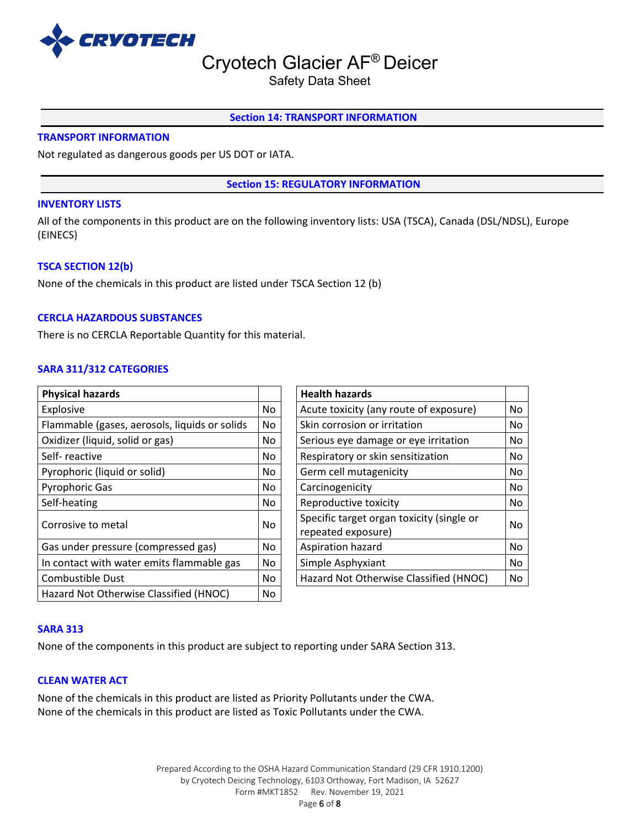

Safety Data Sheet

### **Section 14: TRANSPORT INFORMATION**

### **TRANSPORT INFORMATION**

Not regulated as dangerous goods per US DOT or IATA.

**Section 15: REGULATORY INFORMATION**

#### **INVENTORY LISTS**

All of the components in this product are on the following inventory lists: USA (TSCA), Canada (DSL/NDSL), Europe (EINECS)

#### **TSCA SECTION 12(b)**

None of the chemicals in this product are listed under TSCA Section 12 (b)

#### **CERCLA HAZARDOUS SUBSTANCES**

There is no CERCLA Reportable Quantity for this material.

# **SARA 311/312 CATEGORIES**

| <b>Physical hazards</b>                       |           | <b>Health hazards</b>                                           |    |
|-----------------------------------------------|-----------|-----------------------------------------------------------------|----|
| Explosive                                     | No.       | Acute toxicity (any route of exposure)                          | No |
| Flammable (gases, aerosols, liquids or solids | No        | Skin corrosion or irritation                                    | No |
| Oxidizer (liquid, solid or gas)               | No        | Serious eye damage or eye irritation                            | No |
| Self-reactive                                 | No        | Respiratory or skin sensitization                               | No |
| Pyrophoric (liquid or solid)                  | No.       | Germ cell mutagenicity                                          | No |
| <b>Pyrophoric Gas</b>                         | No.       | Carcinogenicity                                                 | No |
| Self-heating                                  | No.       | Reproductive toxicity                                           | No |
| Corrosive to metal                            | <b>No</b> | Specific target organ toxicity (single or<br>repeated exposure) | No |
| Gas under pressure (compressed gas)           | <b>No</b> | Aspiration hazard                                               | No |
| In contact with water emits flammable gas     | No        | Simple Asphyxiant                                               | No |
| Combustible Dust                              | <b>No</b> | Hazard Not Otherwise Classified (HNOC)                          | No |
| Hazard Not Otherwise Classified (HNOC)        | No        |                                                                 |    |

| <b>Health hazards</b>                                           |           |
|-----------------------------------------------------------------|-----------|
| Acute toxicity (any route of exposure)                          | No        |
| Skin corrosion or irritation                                    | No        |
| Serious eye damage or eye irritation                            | No        |
| Respiratory or skin sensitization                               | No        |
| Germ cell mutagenicity                                          | No        |
| Carcinogenicity                                                 | No        |
| Reproductive toxicity                                           | No        |
| Specific target organ toxicity (single or<br>repeated exposure) | No        |
| Aspiration hazard                                               | <b>No</b> |
| Simple Asphyxiant                                               | No        |
| Hazard Not Otherwise Classified (HNOC)                          | No        |

#### **SARA 313**

None of the components in this product are subject to reporting under SARA Section 313.

#### **CLEAN WATER ACT**

None of the chemicals in this product are listed as Priority Pollutants under the CWA. None of the chemicals in this product are listed as Toxic Pollutants under the CWA.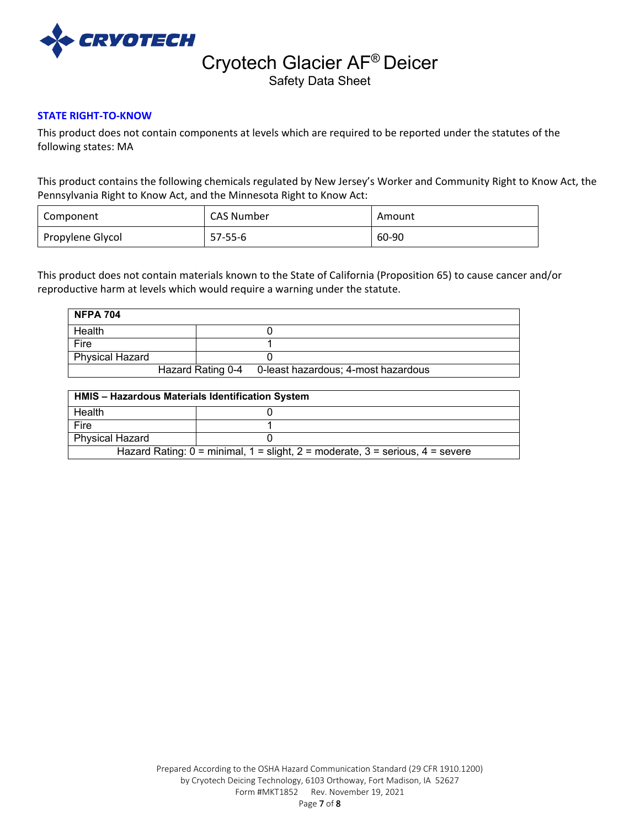

Safety Data Sheet

# **STATE RIGHT-TO-KNOW**

This product does not contain components at levels which are required to be reported under the statutes of the following states: MA

This product contains the following chemicals regulated by New Jersey's Worker and Community Right to Know Act, the Pennsylvania Right to Know Act, and the Minnesota Right to Know Act:

| Component        | CAS Number | Amount |
|------------------|------------|--------|
| Propylene Glycol | 57-55-6    | 60-90  |

This product does not contain materials known to the State of California (Proposition 65) to cause cancer and/or reproductive harm at levels which would require a warning under the statute.

| <b>NFPA 704</b>        |  |                                                       |
|------------------------|--|-------------------------------------------------------|
| Health                 |  |                                                       |
| Fire                   |  |                                                       |
| <b>Physical Hazard</b> |  |                                                       |
|                        |  | Hazard Rating 0-4 0-least hazardous; 4-most hazardous |

| <b>HMIS - Hazardous Materials Identification System</b>                                 |  |  |  |
|-----------------------------------------------------------------------------------------|--|--|--|
| Health                                                                                  |  |  |  |
| Fire                                                                                    |  |  |  |
| <b>Physical Hazard</b>                                                                  |  |  |  |
| Hazard Rating: $0 =$ minimal, $1 =$ slight, $2 =$ moderate, $3 =$ serious, $4 =$ severe |  |  |  |